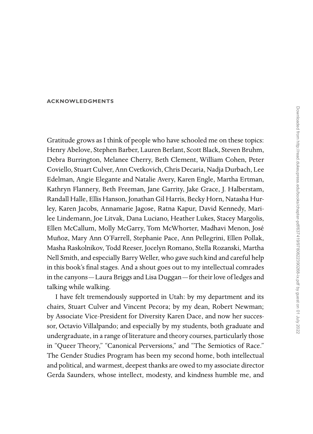## **Acknowledgments**

Gratitude grows as I think of people who have schooled me on these topics: Henry Abelove, Stephen Barber, Lauren Berlant, Scott Black, Steven Bruhm, Debra Burrington, Melanee Cherry, Beth Clement, William Cohen, Peter Coviello, Stuart Culver, Ann Cvetkovich, Chris Decaria, Nadja Durbach, Lee Edelman, Angie Elegante and Natalie Avery, Karen Engle, Martha Ertman, Kathryn Flannery, Beth Freeman, Jane Garrity, Jake Grace, J. Halberstam, Randall Halle, Ellis Hanson, Jonathan Gil Harris, Becky Horn, Natasha Hurley, Karen Jacobs, Annamarie Jagose, Ratna Kapur, David Kennedy, Marilee Lindemann, Joe Litvak, Dana Luciano, Heather Lukes, Stacey Margolis, Ellen McCallum, Molly McGarry, Tom McWhorter, Madhavi Menon, José Muñoz, Mary Ann O'Farrell, Stephanie Pace, Ann Pellegrini, Ellen Pollak, Masha Raskolnikov, Todd Reeser, Jocelyn Romano, Stella Rozanski, Martha Nell Smith, and especially Barry Weller, who gave such kind and careful help in this book's final stages. And a shout goes out to my intellectual comrades in the canyons—Laura Briggs and Lisa Duggan—for their love of ledges and talking while walking.

I have felt tremendously supported in Utah: by my department and its chairs, Stuart Culver and Vincent Pecora; by my dean, Robert Newman; by Associate Vice-President for Diversity Karen Dace, and now her successor, Octavio Villalpando; and especially by my students, both graduate and undergraduate, in a range of literature and theory courses, particularly those in "Queer Theory," "Canonical Perversions," and "The Semiotics of Race." The Gender Studies Program has been my second home, both intellectual and political, and warmest, deepest thanks are owed to my associate director Gerda Saunders, whose intellect, modesty, and kindness humble me, and